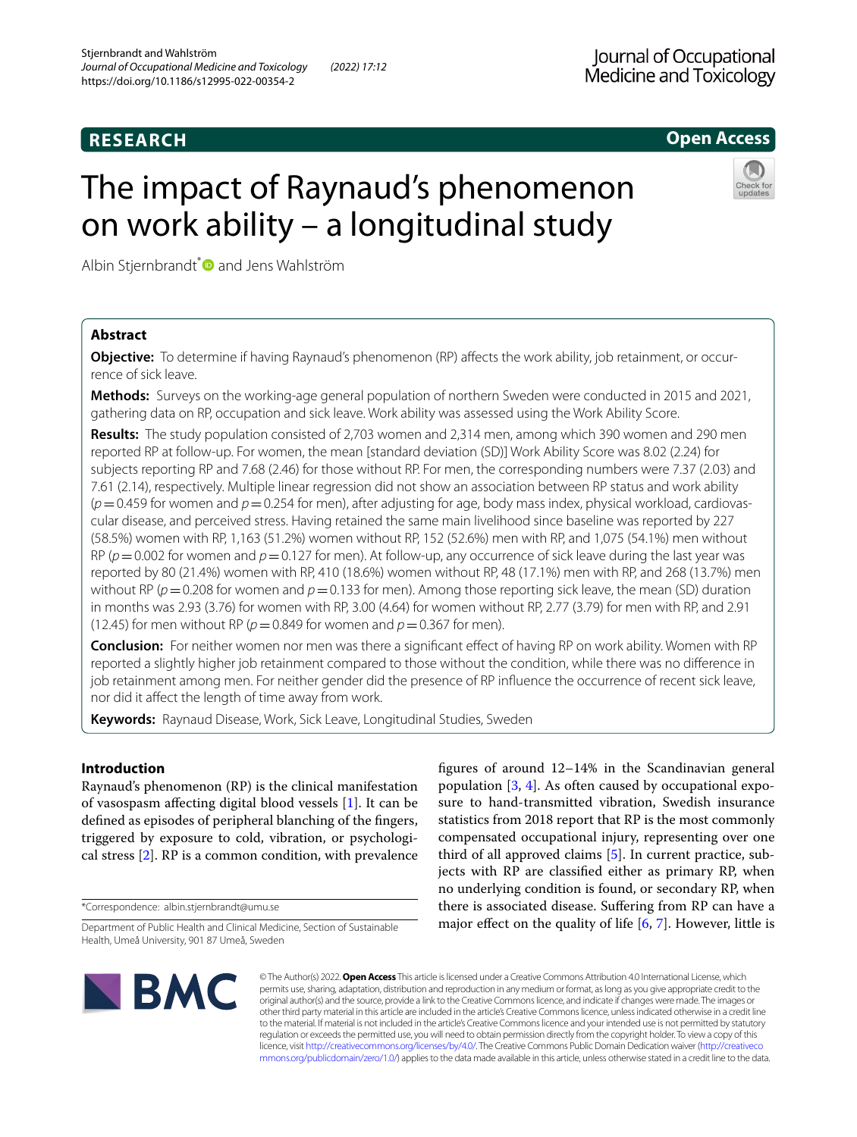# **RESEARCH**

# **Open Access**

# The impact of Raynaud's phenomenon on work ability – a longitudinal study



Albin Stjernbrandt<sup>\*</sup> and Jens Wahlström

# **Abstract**

**Objective:** To determine if having Raynaud's phenomenon (RP) afects the work ability, job retainment, or occurrence of sick leave.

**Methods:** Surveys on the working-age general population of northern Sweden were conducted in 2015 and 2021, gathering data on RP, occupation and sick leave. Work ability was assessed using the Work Ability Score.

**Results:** The study population consisted of 2,703 women and 2,314 men, among which 390 women and 290 men reported RP at follow-up. For women, the mean [standard deviation (SD)] Work Ability Score was 8.02 (2.24) for subjects reporting RP and 7.68 (2.46) for those without RP. For men, the corresponding numbers were 7.37 (2.03) and 7.61 (2.14), respectively. Multiple linear regression did not show an association between RP status and work ability  $(p=0.459$  for women and  $p=0.254$  for men), after adjusting for age, body mass index, physical workload, cardiovascular disease, and perceived stress. Having retained the same main livelihood since baseline was reported by 227 (58.5%) women with RP, 1,163 (51.2%) women without RP, 152 (52.6%) men with RP, and 1,075 (54.1%) men without RP ( $p=0.002$  for women and  $p=0.127$  for men). At follow-up, any occurrence of sick leave during the last year was reported by 80 (21.4%) women with RP, 410 (18.6%) women without RP, 48 (17.1%) men with RP, and 268 (13.7%) men without RP ( $p=0.208$  for women and  $p=0.133$  for men). Among those reporting sick leave, the mean (SD) duration in months was 2.93 (3.76) for women with RP, 3.00 (4.64) for women without RP, 2.77 (3.79) for men with RP, and 2.91 (12.45) for men without RP ( $p = 0.849$  for women and  $p = 0.367$  for men).

**Conclusion:** For neither women nor men was there a signifcant efect of having RP on work ability. Women with RP reported a slightly higher job retainment compared to those without the condition, while there was no diference in job retainment among men. For neither gender did the presence of RP influence the occurrence of recent sick leave, nor did it afect the length of time away from work.

**Keywords:** Raynaud Disease, Work, Sick Leave, Longitudinal Studies, Sweden

# **Introduction**

Raynaud's phenomenon (RP) is the clinical manifestation of vasospasm afecting digital blood vessels [\[1](#page-7-0)]. It can be defned as episodes of peripheral blanching of the fngers, triggered by exposure to cold, vibration, or psychological stress [\[2](#page-7-1)]. RP is a common condition, with prevalence

\*Correspondence: albin.stjernbrandt@umu.se

fgures of around 12–14% in the Scandinavian general population [\[3](#page-7-2), [4](#page-7-3)]. As often caused by occupational exposure to hand-transmitted vibration, Swedish insurance statistics from 2018 report that RP is the most commonly compensated occupational injury, representing over one third of all approved claims [[5\]](#page-7-4). In current practice, subjects with RP are classifed either as primary RP, when no underlying condition is found, or secondary RP, when there is associated disease. Sufering from RP can have a major effect on the quality of life  $[6, 7]$  $[6, 7]$  $[6, 7]$  $[6, 7]$ . However, little is



© The Author(s) 2022. **Open Access** This article is licensed under a Creative Commons Attribution 4.0 International License, which permits use, sharing, adaptation, distribution and reproduction in any medium or format, as long as you give appropriate credit to the original author(s) and the source, provide a link to the Creative Commons licence, and indicate if changes were made. The images or other third party material in this article are included in the article's Creative Commons licence, unless indicated otherwise in a credit line to the material. If material is not included in the article's Creative Commons licence and your intended use is not permitted by statutory regulation or exceeds the permitted use, you will need to obtain permission directly from the copyright holder. To view a copy of this licence, visit [http://creativecommons.org/licenses/by/4.0/.](http://creativecommons.org/licenses/by/4.0/) The Creative Commons Public Domain Dedication waiver ([http://creativeco](http://creativecommons.org/publicdomain/zero/1.0/) [mmons.org/publicdomain/zero/1.0/](http://creativecommons.org/publicdomain/zero/1.0/)) applies to the data made available in this article, unless otherwise stated in a credit line to the data.

Department of Public Health and Clinical Medicine, Section of Sustainable Health, Umeå University, 901 87 Umeå, Sweden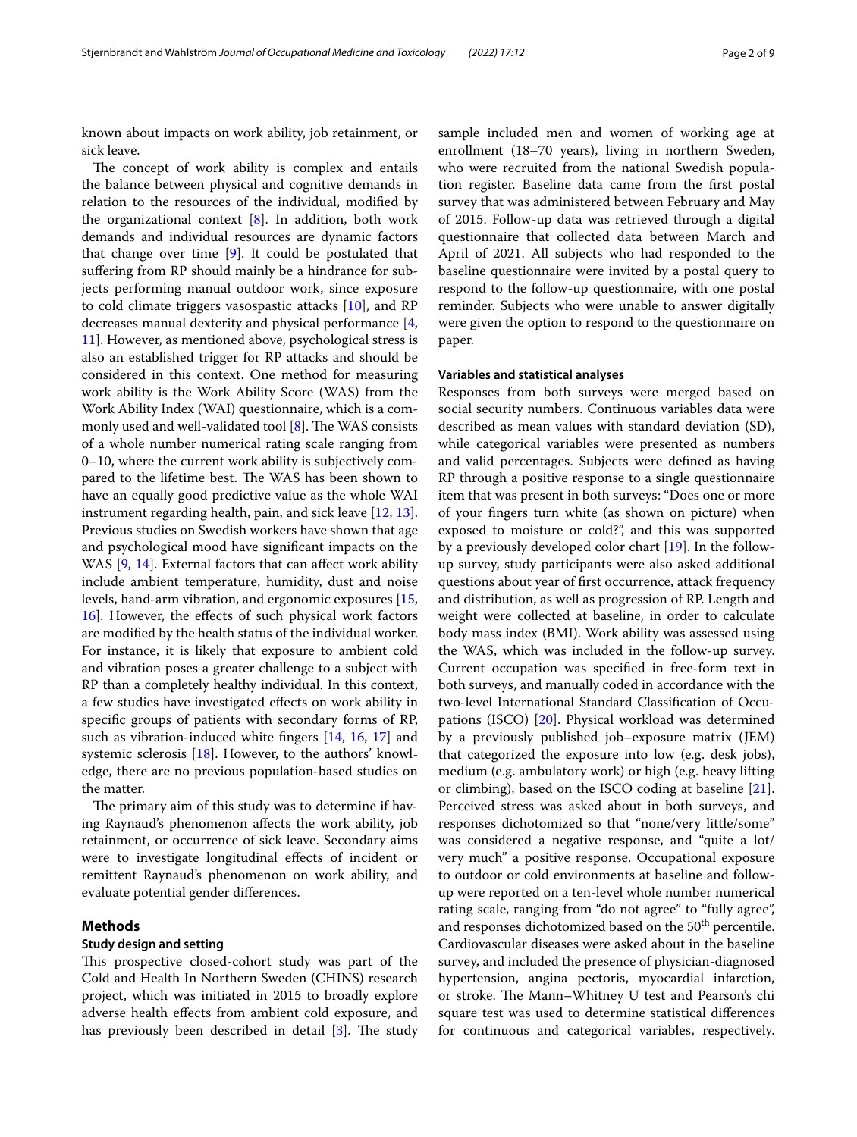known about impacts on work ability, job retainment, or sick leave.

The concept of work ability is complex and entails the balance between physical and cognitive demands in relation to the resources of the individual, modifed by the organizational context  $[8]$  $[8]$ . In addition, both work demands and individual resources are dynamic factors that change over time [[9\]](#page-7-8). It could be postulated that suffering from RP should mainly be a hindrance for subjects performing manual outdoor work, since exposure to cold climate triggers vasospastic attacks [[10](#page-7-9)], and RP decreases manual dexterity and physical performance [\[4](#page-7-3), [11\]](#page-7-10). However, as mentioned above, psychological stress is also an established trigger for RP attacks and should be considered in this context. One method for measuring work ability is the Work Ability Score (WAS) from the Work Ability Index (WAI) questionnaire, which is a commonly used and well-validated tool  $[8]$  $[8]$ . The WAS consists of a whole number numerical rating scale ranging from 0–10, where the current work ability is subjectively compared to the lifetime best. The WAS has been shown to have an equally good predictive value as the whole WAI instrument regarding health, pain, and sick leave [[12,](#page-7-11) [13](#page-7-12)]. Previous studies on Swedish workers have shown that age and psychological mood have signifcant impacts on the WAS [\[9](#page-7-8), [14](#page-7-13)]. External factors that can affect work ability include ambient temperature, humidity, dust and noise levels, hand-arm vibration, and ergonomic exposures [\[15](#page-8-0), [16\]](#page-8-1). However, the efects of such physical work factors are modifed by the health status of the individual worker. For instance, it is likely that exposure to ambient cold and vibration poses a greater challenge to a subject with RP than a completely healthy individual. In this context, a few studies have investigated efects on work ability in specifc groups of patients with secondary forms of RP, such as vibration-induced white fngers [[14,](#page-7-13) [16](#page-8-1), [17\]](#page-8-2) and systemic sclerosis [\[18](#page-8-3)]. However, to the authors' knowledge, there are no previous population-based studies on the matter.

The primary aim of this study was to determine if having Raynaud's phenomenon afects the work ability, job retainment, or occurrence of sick leave. Secondary aims were to investigate longitudinal efects of incident or remittent Raynaud's phenomenon on work ability, and evaluate potential gender diferences.

# **Methods**

#### **Study design and setting**

This prospective closed-cohort study was part of the Cold and Health In Northern Sweden (CHINS) research project, which was initiated in 2015 to broadly explore adverse health efects from ambient cold exposure, and has previously been described in detail  $[3]$  $[3]$ . The study sample included men and women of working age at enrollment (18–70 years), living in northern Sweden, who were recruited from the national Swedish population register. Baseline data came from the frst postal survey that was administered between February and May of 2015. Follow-up data was retrieved through a digital questionnaire that collected data between March and April of 2021. All subjects who had responded to the baseline questionnaire were invited by a postal query to respond to the follow-up questionnaire, with one postal reminder. Subjects who were unable to answer digitally were given the option to respond to the questionnaire on paper.

# **Variables and statistical analyses**

Responses from both surveys were merged based on social security numbers. Continuous variables data were described as mean values with standard deviation (SD), while categorical variables were presented as numbers and valid percentages. Subjects were defned as having RP through a positive response to a single questionnaire item that was present in both surveys: "Does one or more of your fngers turn white (as shown on picture) when exposed to moisture or cold?", and this was supported by a previously developed color chart [[19](#page-8-4)]. In the followup survey, study participants were also asked additional questions about year of frst occurrence, attack frequency and distribution, as well as progression of RP. Length and weight were collected at baseline, in order to calculate body mass index (BMI). Work ability was assessed using the WAS, which was included in the follow-up survey. Current occupation was specifed in free-form text in both surveys, and manually coded in accordance with the two-level International Standard Classifcation of Occupations (ISCO) [[20](#page-8-5)]. Physical workload was determined by a previously published job–exposure matrix (JEM) that categorized the exposure into low (e.g. desk jobs), medium (e.g. ambulatory work) or high (e.g. heavy lifting or climbing), based on the ISCO coding at baseline [\[21](#page-8-6)]. Perceived stress was asked about in both surveys, and responses dichotomized so that "none/very little/some" was considered a negative response, and "quite a lot/ very much" a positive response. Occupational exposure to outdoor or cold environments at baseline and followup were reported on a ten-level whole number numerical rating scale, ranging from "do not agree" to "fully agree", and responses dichotomized based on the 50<sup>th</sup> percentile. Cardiovascular diseases were asked about in the baseline survey, and included the presence of physician-diagnosed hypertension, angina pectoris, myocardial infarction, or stroke. The Mann–Whitney U test and Pearson's chi square test was used to determine statistical diferences for continuous and categorical variables, respectively.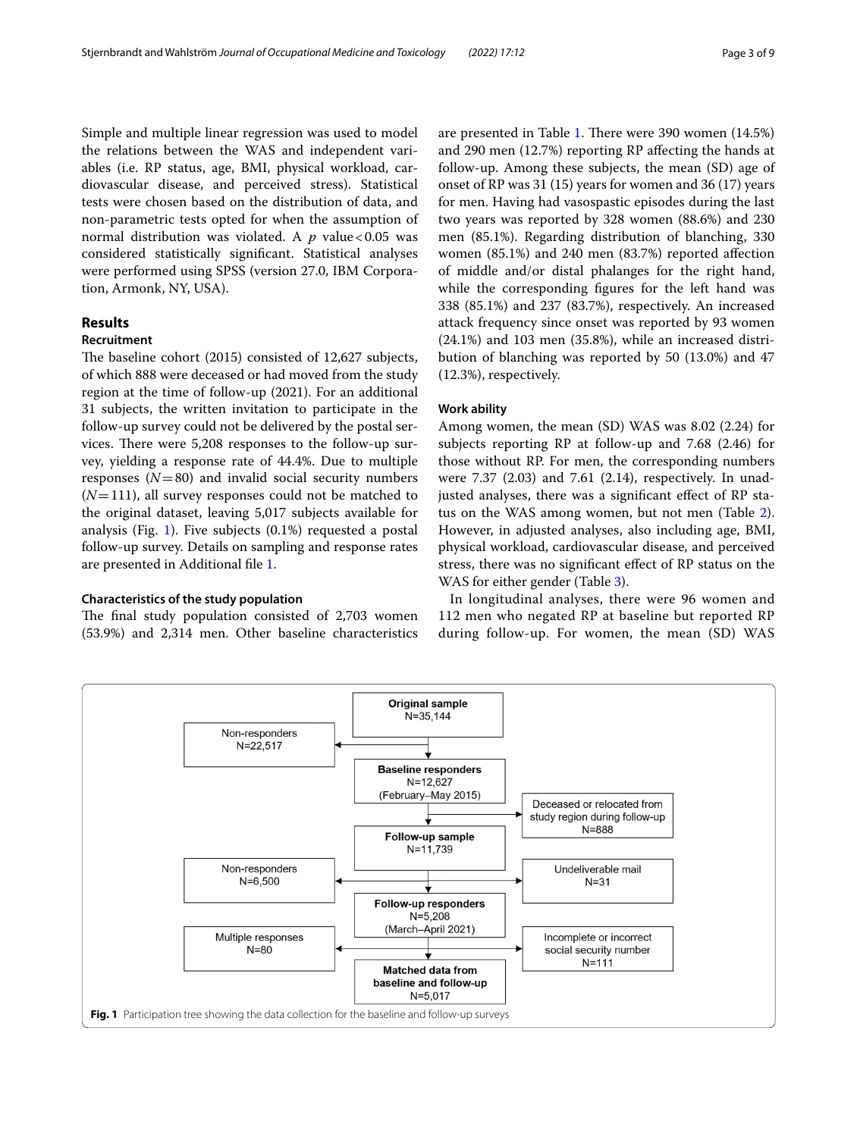Simple and multiple linear regression was used to model the relations between the WAS and independent variables (i.e. RP status, age, BMI, physical workload, cardiovascular disease, and perceived stress). Statistical tests were chosen based on the distribution of data, and non-parametric tests opted for when the assumption of normal distribution was violated. A  $p$  value <0.05 was considered statistically signifcant. Statistical analyses were performed using SPSS (version 27.0, IBM Corporation, Armonk, NY, USA).

# **Results**

#### **Recruitment**

The baseline cohort (2015) consisted of 12,627 subjects, of which 888 were deceased or had moved from the study region at the time of follow-up (2021). For an additional 31 subjects, the written invitation to participate in the follow-up survey could not be delivered by the postal services. There were 5,208 responses to the follow-up survey, yielding a response rate of 44.4%. Due to multiple responses  $(N=80)$  and invalid social security numbers  $(N=111)$ , all survey responses could not be matched to the original dataset, leaving 5,017 subjects available for analysis (Fig. [1\)](#page-2-0). Five subjects  $(0.1\%)$  requested a postal follow-up survey. Details on sampling and response rates are presented in Additional fle [1.](#page-7-14)

#### **Characteristics of the study population**

The final study population consisted of 2,703 women (53.9%) and 2,314 men. Other baseline characteristics are presented in Table [1](#page-3-0). There were 390 women (14.5%) and 290 men (12.7%) reporting RP afecting the hands at follow-up. Among these subjects, the mean (SD) age of onset of RP was 31 (15) years for women and 36 (17) years for men. Having had vasospastic episodes during the last two years was reported by 328 women (88.6%) and 230 men (85.1%). Regarding distribution of blanching, 330 women (85.1%) and 240 men (83.7%) reported afection of middle and/or distal phalanges for the right hand, while the corresponding fgures for the left hand was 338 (85.1%) and 237 (83.7%), respectively. An increased attack frequency since onset was reported by 93 women (24.1%) and 103 men (35.8%), while an increased distribution of blanching was reported by 50 (13.0%) and 47 (12.3%), respectively.

#### **Work ability**

Among women, the mean (SD) WAS was 8.02 (2.24) for subjects reporting RP at follow-up and 7.68 (2.46) for those without RP. For men, the corresponding numbers were 7.37 (2.03) and 7.61 (2.14), respectively. In unadjusted analyses, there was a signifcant efect of RP status on the WAS among women, but not men (Table [2](#page-4-0)). However, in adjusted analyses, also including age, BMI, physical workload, cardiovascular disease, and perceived stress, there was no signifcant efect of RP status on the WAS for either gender (Table [3\)](#page-4-1).

In longitudinal analyses, there were 96 women and 112 men who negated RP at baseline but reported RP during follow-up. For women, the mean (SD) WAS

<span id="page-2-0"></span>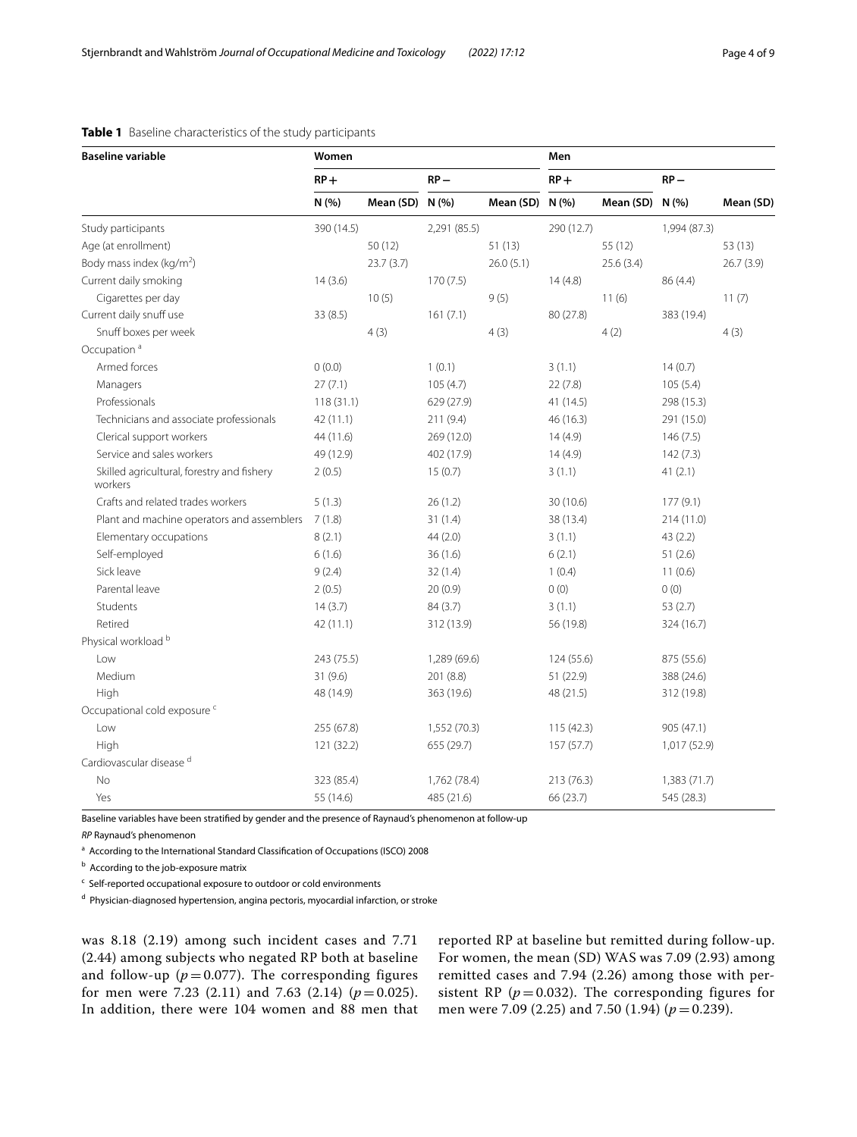| <b>Baseline variable</b>                              | Women      |                 |              |                 | Men        |           |              |           |
|-------------------------------------------------------|------------|-----------------|--------------|-----------------|------------|-----------|--------------|-----------|
|                                                       | $RP +$     |                 | $RP -$       |                 | $RP +$     |           | $RP -$       |           |
|                                                       | N (%)      | Mean (SD) N (%) |              | Mean (SD) N (%) |            | Mean (SD) | N(%          | Mean (SD) |
| Study participants                                    | 390 (14.5) |                 | 2,291 (85.5) |                 | 290 (12.7) |           | 1,994 (87.3) |           |
| Age (at enrollment)                                   |            | 50(12)          |              | 51(13)          |            | 55 (12)   |              | 53 (13)   |
| Body mass index (kg/m <sup>2</sup> )                  |            | 23.7(3.7)       |              | 26.0(5.1)       |            | 25.6(3.4) |              | 26.7(3.9) |
| Current daily smoking                                 | 14(3.6)    |                 | 170(7.5)     |                 | 14(4.8)    |           | 86 (4.4)     |           |
| Cigarettes per day                                    |            | 10(5)           |              | 9(5)            |            | 11(6)     |              | 11(7)     |
| Current daily snuff use                               | 33(8.5)    |                 | 161(7.1)     |                 | 80 (27.8)  |           | 383 (19.4)   |           |
| Snuff boxes per week                                  |            | 4(3)            |              | 4(3)            |            | 4(2)      |              | 4(3)      |
| Occupation <sup>a</sup>                               |            |                 |              |                 |            |           |              |           |
| Armed forces                                          | 0(0.0)     |                 | 1(0.1)       |                 | 3(1.1)     |           | 14(0.7)      |           |
| Managers                                              | 27(7.1)    |                 | 105(4.7)     |                 | 22(7.8)    |           | 105(5.4)     |           |
| Professionals                                         | 118(31.1)  |                 | 629 (27.9)   |                 | 41 (14.5)  |           | 298 (15.3)   |           |
| Technicians and associate professionals               | 42 (11.1)  |                 | 211 (9.4)    |                 | 46 (16.3)  |           | 291 (15.0)   |           |
| Clerical support workers                              | 44 (11.6)  |                 | 269 (12.0)   |                 | 14(4.9)    |           | 146(7.5)     |           |
| Service and sales workers                             | 49 (12.9)  |                 | 402 (17.9)   |                 | 14(4.9)    |           | 142(7.3)     |           |
| Skilled agricultural, forestry and fishery<br>workers | 2(0.5)     |                 | 15(0.7)      |                 | 3(1.1)     |           | 41(2.1)      |           |
| Crafts and related trades workers                     | 5(1.3)     |                 | 26(1.2)      |                 | 30 (10.6)  |           | 177(9.1)     |           |
| Plant and machine operators and assemblers            | 7(1.8)     |                 | 31(1.4)      |                 | 38 (13.4)  |           | 214(11.0)    |           |
| Elementary occupations                                | 8(2.1)     |                 | 44 (2.0)     |                 | 3(1.1)     |           | 43(2.2)      |           |
| Self-employed                                         | 6(1.6)     |                 | 36(1.6)      |                 | 6(2.1)     |           | 51(2.6)      |           |
| Sick leave                                            | 9(2.4)     |                 | 32(1.4)      |                 | 1(0.4)     |           | 11(0.6)      |           |
| Parental leave                                        | 2(0.5)     |                 | 20(0.9)      |                 | 0(0)       |           | 0(0)         |           |
| Students                                              | 14(3.7)    |                 | 84 (3.7)     |                 | 3(1.1)     |           | 53(2.7)      |           |
| Retired                                               | 42 (11.1)  |                 | 312 (13.9)   |                 | 56 (19.8)  |           | 324 (16.7)   |           |
| Physical workload <sup>b</sup>                        |            |                 |              |                 |            |           |              |           |
| Low                                                   | 243 (75.5) |                 | 1,289 (69.6) |                 | 124 (55.6) |           | 875 (55.6)   |           |
| Medium                                                | 31(9.6)    |                 | 201 (8.8)    |                 | 51 (22.9)  |           | 388 (24.6)   |           |
| High                                                  | 48 (14.9)  |                 | 363 (19.6)   |                 | 48 (21.5)  |           | 312 (19.8)   |           |
| Occupational cold exposure <sup>c</sup>               |            |                 |              |                 |            |           |              |           |
| Low                                                   | 255 (67.8) |                 | 1,552 (70.3) |                 | 115 (42.3) |           | 905 (47.1)   |           |
| High                                                  | 121 (32.2) |                 | 655 (29.7)   |                 | 157 (57.7) |           | 1,017 (52.9) |           |
| Cardiovascular disease <sup>d</sup>                   |            |                 |              |                 |            |           |              |           |
| No                                                    | 323 (85.4) |                 | 1,762 (78.4) |                 | 213 (76.3) |           | 1,383(71.7)  |           |
| Yes                                                   | 55 (14.6)  |                 | 485 (21.6)   |                 | 66 (23.7)  |           | 545 (28.3)   |           |

# <span id="page-3-0"></span>**Table 1** Baseline characteristics of the study participants

Baseline variables have been stratifed by gender and the presence of Raynaud's phenomenon at follow-up

*RP* Raynaud's phenomenon

<sup>a</sup> According to the International Standard Classification of Occupations (ISCO) 2008

**b** According to the job-exposure matrix

<sup>c</sup> Self-reported occupational exposure to outdoor or cold environments

<sup>d</sup> Physician-diagnosed hypertension, angina pectoris, myocardial infarction, or stroke

was 8.18 (2.19) among such incident cases and 7.71 (2.44) among subjects who negated RP both at baseline and follow-up  $(p=0.077)$ . The corresponding figures for men were 7.23 (2.11) and 7.63 (2.14)  $(p=0.025)$ . In addition, there were 104 women and 88 men that reported RP at baseline but remitted during follow-up. For women, the mean (SD) WAS was 7.09 (2.93) among remitted cases and 7.94 (2.26) among those with persistent RP ( $p = 0.032$ ). The corresponding figures for men were 7.09 (2.25) and 7.50 (1.94) ( $p = 0.239$ ).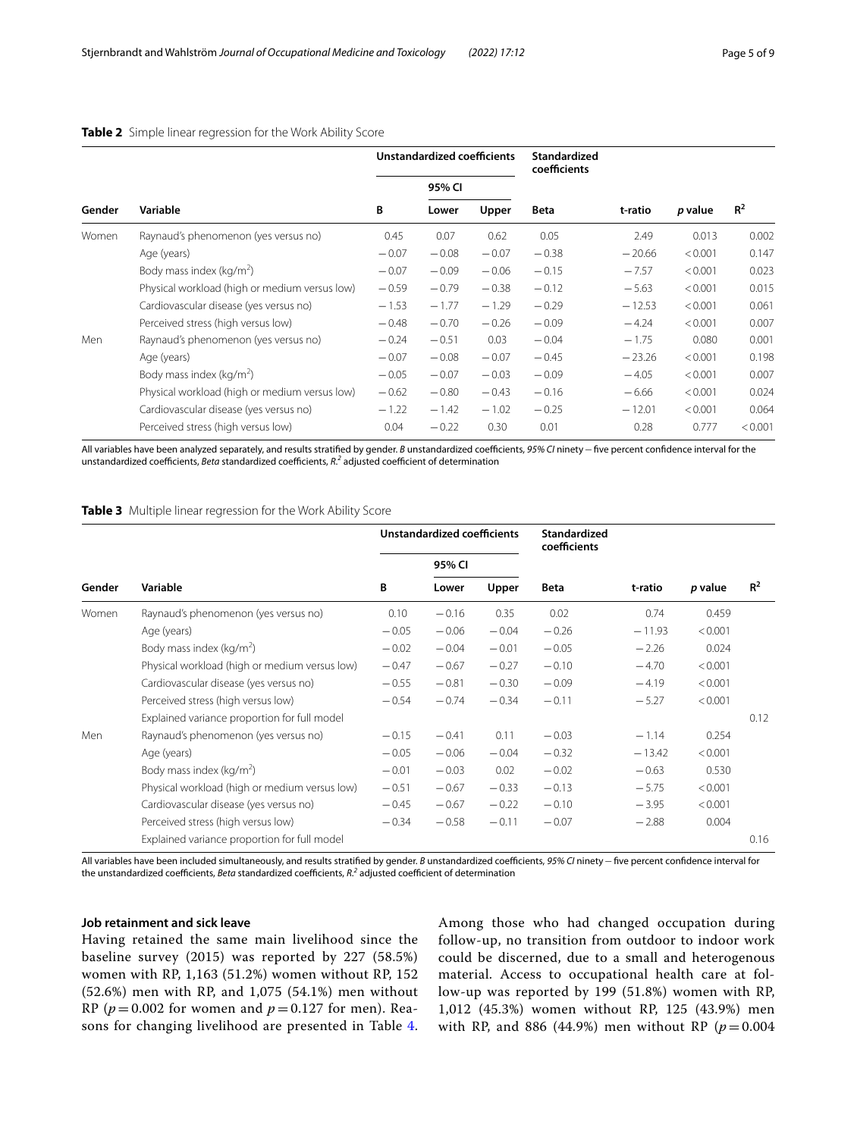|        |                                               | Unstandardized coefficients |         |         | <b>Standardized</b><br>coefficients |          |         |         |
|--------|-----------------------------------------------|-----------------------------|---------|---------|-------------------------------------|----------|---------|---------|
|        |                                               |                             | 95% CI  |         |                                     |          |         |         |
| Gender | Variable                                      | В                           | Lower   | Upper   | <b>Beta</b>                         | t-ratio  | p value | $R^2$   |
| Women  | Raynaud's phenomenon (yes versus no)          | 0.45                        | 0.07    | 0.62    | 0.05                                | 2.49     | 0.013   | 0.002   |
|        | Age (years)                                   | $-0.07$                     | $-0.08$ | $-0.07$ | $-0.38$                             | $-20.66$ | < 0.001 | 0.147   |
|        | Body mass index ( $kg/m2$ )                   | $-0.07$                     | $-0.09$ | $-0.06$ | $-0.15$                             | $-7.57$  | < 0.001 | 0.023   |
|        | Physical workload (high or medium versus low) | $-0.59$                     | $-0.79$ | $-0.38$ | $-0.12$                             | $-5.63$  | < 0.001 | 0.015   |
|        | Cardiovascular disease (yes versus no)        | $-1.53$                     | $-1.77$ | $-1.29$ | $-0.29$                             | $-12.53$ | < 0.001 | 0.061   |
|        | Perceived stress (high versus low)            | $-0.48$                     | $-0.70$ | $-0.26$ | $-0.09$                             | $-4.24$  | < 0.001 | 0.007   |
| Men    | Raynaud's phenomenon (yes versus no)          | $-0.24$                     | $-0.51$ | 0.03    | $-0.04$                             | $-1.75$  | 0.080   | 0.001   |
|        | Age (years)                                   | $-0.07$                     | $-0.08$ | $-0.07$ | $-0.45$                             | $-23.26$ | < 0.001 | 0.198   |
|        | Body mass index ( $kg/m2$ )                   | $-0.05$                     | $-0.07$ | $-0.03$ | $-0.09$                             | $-4.05$  | < 0.001 | 0.007   |
|        | Physical workload (high or medium versus low) | $-0.62$                     | $-0.80$ | $-0.43$ | $-0.16$                             | $-6.66$  | < 0.001 | 0.024   |
|        | Cardiovascular disease (yes versus no)        | $-1.22$                     | $-1.42$ | $-1.02$ | $-0.25$                             | $-12.01$ | < 0.001 | 0.064   |
|        | Perceived stress (high versus low)            | 0.04                        | $-0.22$ | 0.30    | 0.01                                | 0.28     | 0.777   | < 0.001 |

## <span id="page-4-0"></span>**Table 2** Simple linear regression for the Work Ability Score

All variables have been analyzed separately, and results stratified by gender. *B* unstandardized coefficients, 95% CI ninety - five percent confidence interval for the unstandardized coefficients, *Beta* standardized coefficients, *R*.<sup>2</sup> adjusted coefficient of determination

<span id="page-4-1"></span>**Table 3** Multiple linear regression for the Work Ability Score

|        | Variable                                      | Unstandardized coefficients |         |         | Standardized<br>coefficients |          |         |       |
|--------|-----------------------------------------------|-----------------------------|---------|---------|------------------------------|----------|---------|-------|
| Gender |                                               |                             | 95% CI  |         |                              |          |         |       |
|        |                                               | B                           | Lower   | Upper   | <b>Beta</b>                  | t-ratio  | p value | $R^2$ |
| Women  | Raynaud's phenomenon (yes versus no)          | 0.10                        | $-0.16$ | 0.35    | 0.02                         | 0.74     | 0.459   |       |
|        | Age (years)                                   | $-0.05$                     | $-0.06$ | $-0.04$ | $-0.26$                      | $-11.93$ | < 0.001 |       |
|        | Body mass index ( $kg/m2$ )                   | $-0.02$                     | $-0.04$ | $-0.01$ | $-0.05$                      | $-2.26$  | 0.024   |       |
|        | Physical workload (high or medium versus low) | $-0.47$                     | $-0.67$ | $-0.27$ | $-0.10$                      | $-4.70$  | < 0.001 |       |
|        | Cardiovascular disease (yes versus no)        | $-0.55$                     | $-0.81$ | $-0.30$ | $-0.09$                      | $-4.19$  | < 0.001 |       |
|        | Perceived stress (high versus low)            | $-0.54$                     | $-0.74$ | $-0.34$ | $-0.11$                      | $-5.27$  | < 0.001 |       |
|        | Explained variance proportion for full model  |                             |         |         |                              |          |         | 0.12  |
| Men    | Raynaud's phenomenon (yes versus no)          | $-0.15$                     | $-0.41$ | 0.11    | $-0.03$                      | $-1.14$  | 0.254   |       |
|        | Age (years)                                   | $-0.05$                     | $-0.06$ | $-0.04$ | $-0.32$                      | $-13.42$ | < 0.001 |       |
|        | Body mass index ( $kg/m2$ )                   | $-0.01$                     | $-0.03$ | 0.02    | $-0.02$                      | $-0.63$  | 0.530   |       |
|        | Physical workload (high or medium versus low) | $-0.51$                     | $-0.67$ | $-0.33$ | $-0.13$                      | $-5.75$  | < 0.001 |       |
|        | Cardiovascular disease (yes versus no)        | $-0.45$                     | $-0.67$ | $-0.22$ | $-0.10$                      | $-3.95$  | < 0.001 |       |
|        | Perceived stress (high versus low)            | $-0.34$                     | $-0.58$ | $-0.11$ | $-0.07$                      | $-2.88$  | 0.004   |       |
|        | Explained variance proportion for full model  |                             |         |         |                              |          |         | 0.16  |

All variables have been included simultaneously, and results stratified by gender. *B* unstandardized coefficients, 95% CI ninety – five percent confidence interval for the unstandardized coefficients, *Beta* standardized coefficients, *R*.<sup>2</sup> adjusted coefficient of determination

# **Job retainment and sick leave**

Having retained the same main livelihood since the baseline survey (2015) was reported by 227 (58.5%) women with RP, 1,163 (51.2%) women without RP, 152 (52.6%) men with RP, and 1,075 (54.1%) men without RP ( $p = 0.002$  for women and  $p = 0.127$  for men). Reasons for changing livelihood are presented in Table [4](#page-5-0). Among those who had changed occupation during follow-up, no transition from outdoor to indoor work could be discerned, due to a small and heterogenous material. Access to occupational health care at follow-up was reported by 199 (51.8%) women with RP, 1,012 (45.3%) women without RP, 125 (43.9%) men with RP, and 886 (44.9%) men without RP ( $p = 0.004$ )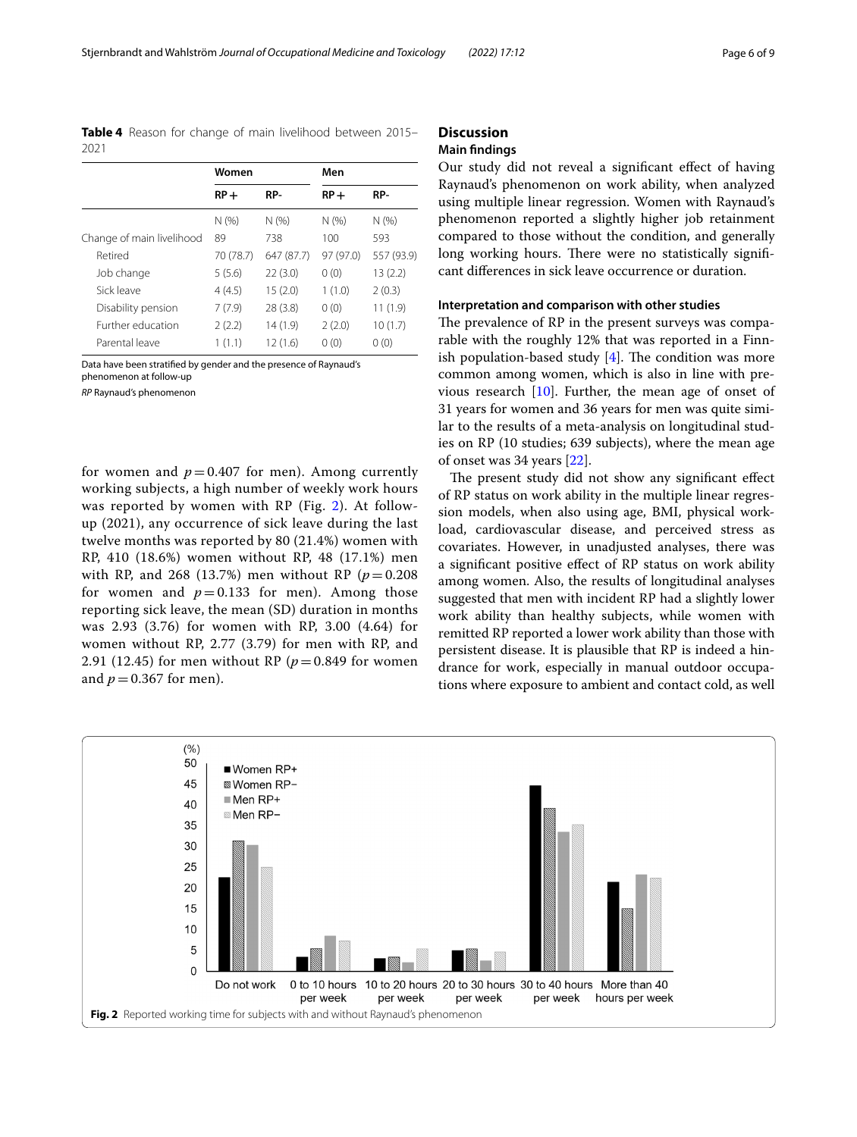<span id="page-5-0"></span>**Table 4** Reason for change of main livelihood between 2015– 2021

|                           | Women     |            | Men       |            |  |
|---------------------------|-----------|------------|-----------|------------|--|
|                           | $RP+$     | RP-        | $RP+$     | RP-        |  |
|                           | N(%       | N(%        | N(%       | N(%        |  |
| Change of main livelihood | 89        | 738        | 100       | 593        |  |
| Retired                   | 70 (78.7) | 647 (87.7) | 97 (97.0) | 557 (93.9) |  |
| Job change                | 5(5.6)    | 22(3.0)    | 0(0)      | 13(2.2)    |  |
| Sick leave                | 4(4.5)    | 15(2.0)    | 1(1.0)    | 2(0.3)     |  |
| Disability pension        | 7(7.9)    | 28(3.8)    | 0(0)      | 11(1.9)    |  |
| Further education         | 2(2.2)    | 14(1.9)    | 2(2.0)    | 10(1.7)    |  |
| Parental leave            | 1(1.1)    | 12(1.6)    | 0(0)      | 0(0)       |  |

Data have been stratifed by gender and the presence of Raynaud's phenomenon at follow-up

*RP* Raynaud's phenomenon

for women and  $p = 0.407$  for men). Among currently working subjects, a high number of weekly work hours was reported by women with RP (Fig. [2\)](#page-5-1). At followup (2021), any occurrence of sick leave during the last twelve months was reported by 80 (21.4%) women with RP, 410 (18.6%) women without RP, 48 (17.1%) men with RP, and 268 (13.7%) men without RP  $(p = 0.208)$ for women and  $p = 0.133$  for men). Among those reporting sick leave, the mean (SD) duration in months was 2.93 (3.76) for women with RP, 3.00 (4.64) for women without RP, 2.77 (3.79) for men with RP, and 2.91 (12.45) for men without RP ( $p = 0.849$  for women and  $p = 0.367$  for men).

# **Discussion**

# **Main fndings**

Our study did not reveal a signifcant efect of having Raynaud's phenomenon on work ability, when analyzed using multiple linear regression. Women with Raynaud's phenomenon reported a slightly higher job retainment compared to those without the condition, and generally long working hours. There were no statistically significant diferences in sick leave occurrence or duration.

#### **Interpretation and comparison with other studies**

The prevalence of RP in the present surveys was comparable with the roughly 12% that was reported in a Finnish population-based study  $[4]$  $[4]$ . The condition was more common among women, which is also in line with previous research [[10\]](#page-7-9). Further, the mean age of onset of 31 years for women and 36 years for men was quite similar to the results of a meta-analysis on longitudinal studies on RP (10 studies; 639 subjects), where the mean age of onset was 34 years [\[22\]](#page-8-7).

The present study did not show any significant effect of RP status on work ability in the multiple linear regression models, when also using age, BMI, physical workload, cardiovascular disease, and perceived stress as covariates. However, in unadjusted analyses, there was a signifcant positive efect of RP status on work ability among women. Also, the results of longitudinal analyses suggested that men with incident RP had a slightly lower work ability than healthy subjects, while women with remitted RP reported a lower work ability than those with persistent disease. It is plausible that RP is indeed a hindrance for work, especially in manual outdoor occupations where exposure to ambient and contact cold, as well

<span id="page-5-1"></span>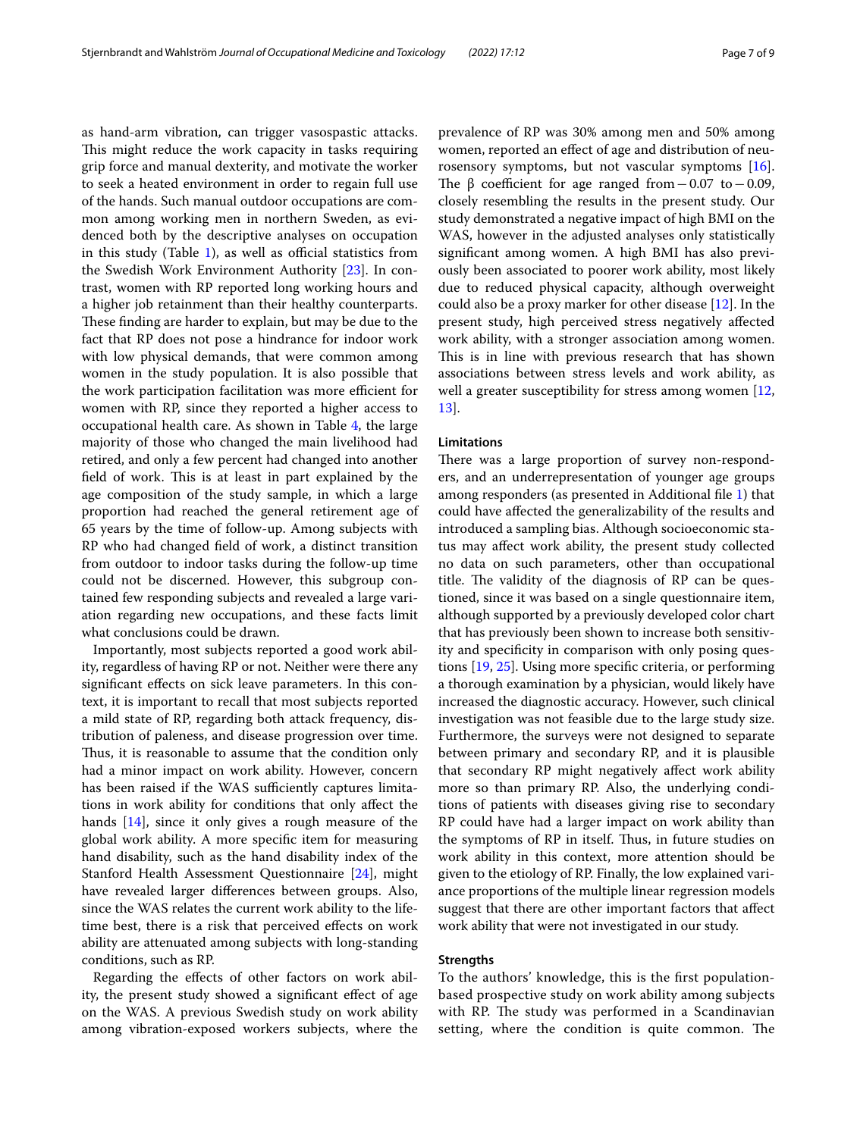as hand-arm vibration, can trigger vasospastic attacks. This might reduce the work capacity in tasks requiring grip force and manual dexterity, and motivate the worker to seek a heated environment in order to regain full use of the hands. Such manual outdoor occupations are common among working men in northern Sweden, as evidenced both by the descriptive analyses on occupation in this study (Table  $1$ ), as well as official statistics from the Swedish Work Environment Authority [[23\]](#page-8-8). In contrast, women with RP reported long working hours and a higher job retainment than their healthy counterparts. These finding are harder to explain, but may be due to the fact that RP does not pose a hindrance for indoor work with low physical demands, that were common among women in the study population. It is also possible that the work participation facilitation was more efficient for women with RP, since they reported a higher access to occupational health care. As shown in Table [4](#page-5-0), the large majority of those who changed the main livelihood had retired, and only a few percent had changed into another field of work. This is at least in part explained by the age composition of the study sample, in which a large proportion had reached the general retirement age of 65 years by the time of follow-up. Among subjects with RP who had changed feld of work, a distinct transition from outdoor to indoor tasks during the follow-up time could not be discerned. However, this subgroup contained few responding subjects and revealed a large variation regarding new occupations, and these facts limit what conclusions could be drawn.

Importantly, most subjects reported a good work ability, regardless of having RP or not. Neither were there any signifcant efects on sick leave parameters. In this context, it is important to recall that most subjects reported a mild state of RP, regarding both attack frequency, distribution of paleness, and disease progression over time. Thus, it is reasonable to assume that the condition only had a minor impact on work ability. However, concern has been raised if the WAS sufficiently captures limitations in work ability for conditions that only afect the hands [[14](#page-7-13)], since it only gives a rough measure of the global work ability. A more specifc item for measuring hand disability, such as the hand disability index of the Stanford Health Assessment Questionnaire [[24\]](#page-8-9), might have revealed larger diferences between groups. Also, since the WAS relates the current work ability to the lifetime best, there is a risk that perceived efects on work ability are attenuated among subjects with long-standing conditions, such as RP.

Regarding the efects of other factors on work ability, the present study showed a signifcant efect of age on the WAS. A previous Swedish study on work ability among vibration-exposed workers subjects, where the prevalence of RP was 30% among men and 50% among women, reported an efect of age and distribution of neurosensory symptoms, but not vascular symptoms [\[16](#page-8-1)]. The  $\beta$  coefficient for age ranged from −0.07 to −0.09, closely resembling the results in the present study. Our study demonstrated a negative impact of high BMI on the WAS, however in the adjusted analyses only statistically signifcant among women. A high BMI has also previously been associated to poorer work ability, most likely due to reduced physical capacity, although overweight could also be a proxy marker for other disease [[12\]](#page-7-11). In the present study, high perceived stress negatively afected work ability, with a stronger association among women. This is in line with previous research that has shown associations between stress levels and work ability, as well a greater susceptibility for stress among women [[12](#page-7-11), [13\]](#page-7-12).

#### **Limitations**

There was a large proportion of survey non-responders, and an underrepresentation of younger age groups among responders (as presented in Additional fle [1\)](#page-7-14) that could have afected the generalizability of the results and introduced a sampling bias. Although socioeconomic status may afect work ability, the present study collected no data on such parameters, other than occupational title. The validity of the diagnosis of RP can be questioned, since it was based on a single questionnaire item, although supported by a previously developed color chart that has previously been shown to increase both sensitivity and specifcity in comparison with only posing questions [[19](#page-8-4), [25](#page-8-10)]. Using more specifc criteria, or performing a thorough examination by a physician, would likely have increased the diagnostic accuracy. However, such clinical investigation was not feasible due to the large study size. Furthermore, the surveys were not designed to separate between primary and secondary RP, and it is plausible that secondary RP might negatively afect work ability more so than primary RP. Also, the underlying conditions of patients with diseases giving rise to secondary RP could have had a larger impact on work ability than the symptoms of RP in itself. Thus, in future studies on work ability in this context, more attention should be given to the etiology of RP. Finally, the low explained variance proportions of the multiple linear regression models suggest that there are other important factors that afect work ability that were not investigated in our study.

#### **Strengths**

To the authors' knowledge, this is the frst populationbased prospective study on work ability among subjects with RP. The study was performed in a Scandinavian setting, where the condition is quite common. The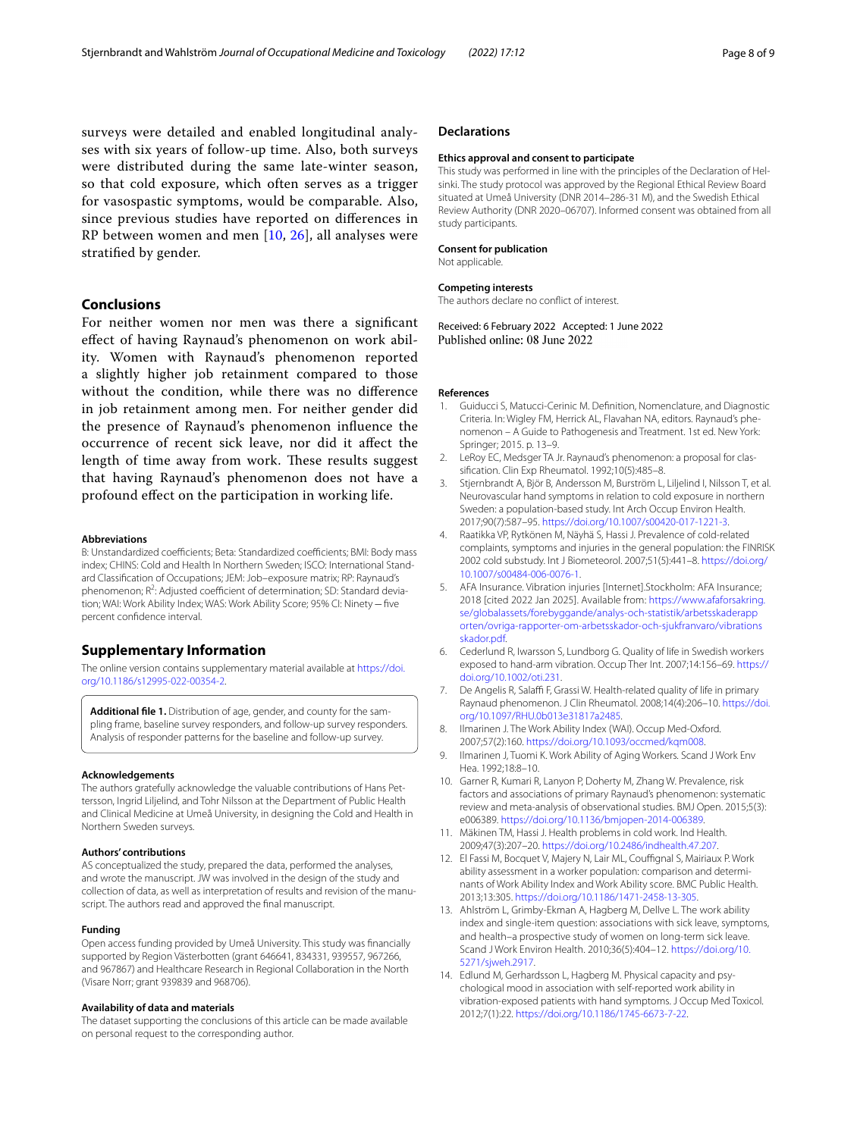surveys were detailed and enabled longitudinal analyses with six years of follow-up time. Also, both surveys were distributed during the same late-winter season, so that cold exposure, which often serves as a trigger for vasospastic symptoms, would be comparable. Also, since previous studies have reported on diferences in RP between women and men [\[10,](#page-7-9) [26\]](#page-8-11), all analyses were stratifed by gender.

## **Conclusions**

For neither women nor men was there a signifcant efect of having Raynaud's phenomenon on work ability. Women with Raynaud's phenomenon reported a slightly higher job retainment compared to those without the condition, while there was no diference in job retainment among men. For neither gender did the presence of Raynaud's phenomenon infuence the occurrence of recent sick leave, nor did it afect the length of time away from work. These results suggest that having Raynaud's phenomenon does not have a profound efect on the participation in working life.

#### **Abbreviations**

B: Unstandardized coefficients; Beta: Standardized coefficients; BMI: Body mass index; CHINS: Cold and Health In Northern Sweden; ISCO: International Standard Classifcation of Occupations; JEM: Job–exposure matrix; RP: Raynaud's phenomenon; R<sup>2</sup>: Adjusted coefficient of determination; SD: Standard deviation; WAI: Work Ability Index; WAS: Work Ability Score; 95% CI: Ninety−fve percent confdence interval.

#### **Supplementary Information**

The online version contains supplementary material available at [https://doi.](https://doi.org/10.1186/s12995-022-00354-2) [org/10.1186/s12995-022-00354-2](https://doi.org/10.1186/s12995-022-00354-2).

<span id="page-7-14"></span>**Additional fle 1.** Distribution of age, gender, and county for the sampling frame, baseline survey responders, and follow-up survey responders. Analysis of responder patterns for the baseline and follow-up survey.

#### **Acknowledgements**

The authors gratefully acknowledge the valuable contributions of Hans Pettersson, Ingrid Liljelind, and Tohr Nilsson at the Department of Public Health and Clinical Medicine at Umeå University, in designing the Cold and Health in Northern Sweden surveys.

# **Authors' contributions**

AS conceptualized the study, prepared the data, performed the analyses, and wrote the manuscript. JW was involved in the design of the study and collection of data, as well as interpretation of results and revision of the manuscript. The authors read and approved the fnal manuscript.

#### **Funding**

Open access funding provided by Umeå University. This study was fnancially supported by Region Västerbotten (grant 646641, 834331, 939557, 967266, and 967867) and Healthcare Research in Regional Collaboration in the North (Visare Norr; grant 939839 and 968706).

#### **Availability of data and materials**

The dataset supporting the conclusions of this article can be made available on personal request to the corresponding author.

#### **Declarations**

#### **Ethics approval and consent to participate**

This study was performed in line with the principles of the Declaration of Helsinki. The study protocol was approved by the Regional Ethical Review Board situated at Umeå University (DNR 2014–286-31 M), and the Swedish Ethical Review Authority (DNR 2020–06707). Informed consent was obtained from all study participants.

#### **Consent for publication**

Not applicable.

### **Competing interests**

The authors declare no confict of interest.

Received: 6 February 2022 Accepted: 1 June 2022 Published online: 08 June 2022

#### **References**

- <span id="page-7-0"></span>1. Guiducci S, Matucci-Cerinic M. Defnition, Nomenclature, and Diagnostic Criteria. In: Wigley FM, Herrick AL, Flavahan NA, editors. Raynaud's phenomenon – A Guide to Pathogenesis and Treatment. 1st ed. New York: Springer; 2015. p. 13–9.
- <span id="page-7-1"></span>2. LeRoy EC, Medsger TA Jr. Raynaud's phenomenon: a proposal for classifcation. Clin Exp Rheumatol. 1992;10(5):485–8.
- <span id="page-7-2"></span>3. Stjernbrandt A, Björ B, Andersson M, Burström L, Liljelind I, Nilsson T, et al. Neurovascular hand symptoms in relation to cold exposure in northern Sweden: a population-based study. Int Arch Occup Environ Health. 2017;90(7):587–95. [https://doi.org/10.1007/s00420-017-1221-3.](https://doi.org/10.1007/s00420-017-1221-3)
- <span id="page-7-3"></span>4. Raatikka VP, Rytkönen M, Näyhä S, Hassi J. Prevalence of cold-related complaints, symptoms and injuries in the general population: the FINRISK 2002 cold substudy. Int J Biometeorol. 2007;51(5):441–8. [https://doi.org/](https://doi.org/10.1007/s00484-006-0076-1) [10.1007/s00484-006-0076-1.](https://doi.org/10.1007/s00484-006-0076-1)
- <span id="page-7-4"></span>5. AFA Insurance. Vibration injuries [Internet].Stockholm: AFA Insurance; 2018 [cited 2022 Jan 2025]. Available from: [https://www.afaforsakring.](https://www.afaforsakring.se/globalassets/forebyggande/analys-och-statistik/arbetsskaderapporten/ovriga-rapporter-om-arbetsskador-och-sjukfranvaro/vibrationsskador.pdf) [se/globalassets/forebyggande/analys-och-statistik/arbetsskaderapp](https://www.afaforsakring.se/globalassets/forebyggande/analys-och-statistik/arbetsskaderapporten/ovriga-rapporter-om-arbetsskador-och-sjukfranvaro/vibrationsskador.pdf) [orten/ovriga-rapporter-om-arbetsskador-och-sjukfranvaro/vibrations](https://www.afaforsakring.se/globalassets/forebyggande/analys-och-statistik/arbetsskaderapporten/ovriga-rapporter-om-arbetsskador-och-sjukfranvaro/vibrationsskador.pdf) [skador.pdf](https://www.afaforsakring.se/globalassets/forebyggande/analys-och-statistik/arbetsskaderapporten/ovriga-rapporter-om-arbetsskador-och-sjukfranvaro/vibrationsskador.pdf).
- <span id="page-7-5"></span>6. Cederlund R, Iwarsson S, Lundborg G. Quality of life in Swedish workers exposed to hand-arm vibration. Occup Ther Int. 2007;14:156–69. [https://](https://doi.org/10.1002/oti.231) [doi.org/10.1002/oti.231.](https://doi.org/10.1002/oti.231)
- <span id="page-7-6"></span>7. De Angelis R, Salaffi F, Grassi W. Health-related quality of life in primary Raynaud phenomenon. J Clin Rheumatol. 2008;14(4):206–10. [https://doi.](https://doi.org/10.1097/RHU.0b013e31817a2485) [org/10.1097/RHU.0b013e31817a2485.](https://doi.org/10.1097/RHU.0b013e31817a2485)
- <span id="page-7-7"></span>8. Ilmarinen J. The Work Ability Index (WAI). Occup Med-Oxford. 2007;57(2):160. <https://doi.org/10.1093/occmed/kqm008>.
- <span id="page-7-8"></span>9. Ilmarinen J, Tuomi K. Work Ability of Aging Workers. Scand J Work Env Hea. 1992;18:8–10.
- <span id="page-7-9"></span>10. Garner R, Kumari R, Lanyon P, Doherty M, Zhang W. Prevalence, risk factors and associations of primary Raynaud's phenomenon: systematic review and meta-analysis of observational studies. BMJ Open. 2015;5(3): e006389. [https://doi.org/10.1136/bmjopen-2014-006389.](https://doi.org/10.1136/bmjopen-2014-006389)
- <span id="page-7-10"></span>11. Mäkinen TM, Hassi J. Health problems in cold work. Ind Health. 2009;47(3):207–20. <https://doi.org/10.2486/indhealth.47.207>.
- <span id="page-7-11"></span>12. El Fassi M, Bocquet V, Majery N, Lair ML, Couffignal S, Mairiaux P. Work ability assessment in a worker population: comparison and determinants of Work Ability Index and Work Ability score. BMC Public Health. 2013;13:305.<https://doi.org/10.1186/1471-2458-13-305>.
- <span id="page-7-12"></span>13. Ahlström L, Grimby-Ekman A, Hagberg M, Dellve L. The work ability index and single-item question: associations with sick leave, symptoms, and health–a prospective study of women on long-term sick leave. Scand J Work Environ Health. 2010;36(5):404–12. [https://doi.org/10.](https://doi.org/10.5271/sjweh.2917) [5271/sjweh.2917.](https://doi.org/10.5271/sjweh.2917)
- <span id="page-7-13"></span>14. Edlund M, Gerhardsson L, Hagberg M. Physical capacity and psychological mood in association with self-reported work ability in vibration-exposed patients with hand symptoms. J Occup Med Toxicol. 2012;7(1):22. <https://doi.org/10.1186/1745-6673-7-22>.